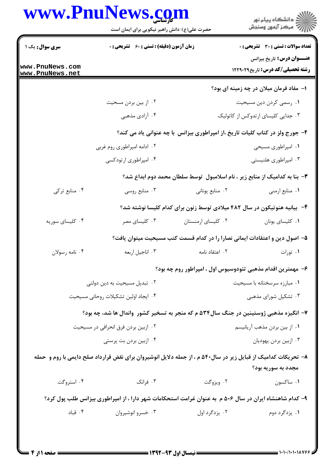| www.PnuNews.com |                                                                                                               |                              | ر<br>دانشڪاه پيام نور)<br>ا∛ مرڪز آزمون وسنڊش                                 |  |
|-----------------|---------------------------------------------------------------------------------------------------------------|------------------------------|-------------------------------------------------------------------------------|--|
|                 | حضرت علی(ع): دانش راهبر نیکویی برای ایمان است                                                                 |                              |                                                                               |  |
| سری سوال: یک ۱  | <b>زمان آزمون (دقیقه) : تستی : 60 ٪ تشریحی : 0</b>                                                            |                              | <b>تعداد سوالات : تستی : 30 ٪ تشریحی : 0</b>                                  |  |
| www.PnuNews.com |                                                                                                               |                              | <b>عنـــوان درس:</b> تاریخ بیزانس<br><b>رشته تحصیلی/کد درس:</b> تاریخ1۲۲۹۰۲۹  |  |
| www.PnuNews.net |                                                                                                               |                              |                                                                               |  |
|                 |                                                                                                               |                              | ۱– مفاد فرمان میلان در چه زمینه ای بود؟                                       |  |
|                 | ۰۲ از بین بردن مسحیت<br>۰۴ آزادی مذهبی                                                                        |                              | ۰۱ رسمی کردن دین مسیحیت<br>۰۳ جدایی کلیسای ارتدوکس از کاتولیک                 |  |
|                 |                                                                                                               |                              |                                                                               |  |
|                 |                                                                                                               |                              | ۲- جورج ولز در کتاب کلیات تاریخ ،از امپراطوری بیزانس با چه عنوانی یاد می کند؟ |  |
|                 | ۰۲ ادامه امپراطوری روم غربی<br>۰۴ امپراطوری ارتودکسی                                                          |                              | ۰۱ امپراطوری مسیحی<br>۰۳ امپراطوری هلنیستی                                    |  |
|                 |                                                                                                               |                              |                                                                               |  |
|                 |                                                                                                               |                              | ۳- بنا به کدامیک از منابع زیر ، نام اسلامبول ِ توسط سلطان محمد دوم ابداع شد؟  |  |
| ۰۴ منابع ترکی   | ۰۳ منابع روسی                                                                                                 | ۰۲ منابع یونانی              | ٠١ منابع ارمني                                                                |  |
|                 |                                                                                                               |                              | ۴– بیانیه هنوتیکون در سال ۴۸۲ میلادی توسط زنون برای کدام کلیسا نوشته شد؟      |  |
| ۰۴ کلیسای سوریه | ۰۳ کلیسای مصر                                                                                                 | ۰۲ کلیسای ارمنستان           | ٠١ كليساى يونان                                                               |  |
|                 |                                                                                                               |                              | ۵– اصول دین و اعتقادات ایمانی نصارا را در کدام قسمت کتب مسیحیت میتوان یافت؟   |  |
| ۰۴ نامه رسولان  | ۰۳ اناجيل اربعه                                                                                               | ۰۲ اعتقاد نامه               | ۰۱ تورات                                                                      |  |
|                 |                                                                                                               |                              | ۶– مهمترین اقدام مذهبی تئودوسیوس اول ، امپراطور روم چه بود؟                   |  |
|                 | ۰۲ تبدیل مسیحیت به دین دولتی                                                                                  | ۰۱ مبارزه سرسختانه با مسیحیت |                                                                               |  |
|                 | ۰۴ ایجاد اولین تشکیلات روحانی مسیحیت                                                                          |                              | ۰۳ تشکیل شورای مذهبی                                                          |  |
|                 | ۷– انگیزه مذهبی ژوستینین در جنگ سال۵۳۴ م که منجر به تسخیر کشور واندال ها شد، چه بود؟                          |                              |                                                                               |  |
|                 | ۰۲ ازبین بردن فرق انحرافی در مسیحیت                                                                           |                              | ۰۱ از بین بردن مذهب آریانیسم                                                  |  |
|                 | ۰۴ ازبین بردن بت پرستی                                                                                        |                              | ۰۳ ازبین بردن یهودیان                                                         |  |
|                 | ۸– تحریکات کدامیک از قبایل زیر در سال۵۴۰ م ، از جمله دلایل انوشیروان برای نقض قرارداد صلح دایمی با روم و حمله |                              |                                                                               |  |
|                 |                                                                                                               |                              | مجدد به سوریه بود؟                                                            |  |
| ۰۴ استروگت      | ۰۳ فرانک                                                                                                      | ۰۲ ویزوگت                    | ٠١ ساكسون                                                                     |  |
|                 | ۹– کدام شاهنشاه ایران در سال ۵۰۶ م به عنوان غرامت استحکامات شهر دارا ، از امپراطوری بیزانس طلب پول کرد؟       |                              |                                                                               |  |
| ۰۴ قباد         | ۰۳ خسرو انوشيروان                                                                                             | ۰۲ یزدگرد اول                | ۰۱ يزدگرد دوم                                                                 |  |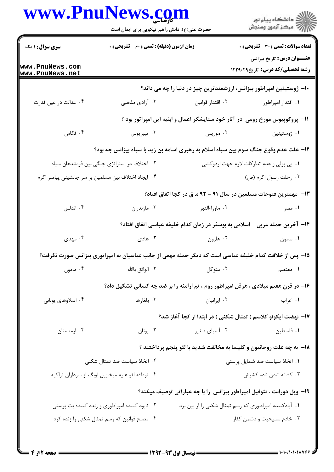|                                    | حضرت علی(ع): دانش راهبر نیکویی برای ایمان است                        |                                                                                                        | ر<br>دانشڪاه پيام نور)<br>ا                                                  |
|------------------------------------|----------------------------------------------------------------------|--------------------------------------------------------------------------------------------------------|------------------------------------------------------------------------------|
| <b>سری سوال : ۱ یک</b>             | <b>زمان آزمون (دقیقه) : تستی : 60 ٪ تشریحی : 0</b>                   |                                                                                                        | <b>تعداد سوالات : تستی : 30 ٪ تشریحی : 0</b>                                 |
| www.PnuNews.com<br>www.PnuNews.net |                                                                      |                                                                                                        | <b>عنـــوان درس:</b> تاریخ بیزانس<br><b>رشته تحصیلی/کد درس:</b> تاریخ1۲۲۹۰۲۹ |
|                                    |                                                                      | ∙۱- ژوستینین امپراطور بیزانس، ارزشمندترین چیز در دنیا را چه می داند؟                                   |                                                                              |
| ۰۴ عدالت در عين قدرت               | ۰۳ آزادی مذهبی                                                       | ۰۲ اقتدار قوانین                                                                                       | ۰۱ اقتدار امپراطور                                                           |
|                                    |                                                                      | 1۱- پروکوپیوس مورخ رومی ً در آثار خود ستایشگر اعمال و ابنیه این امپراتور بود ؟                         |                                                                              |
| ۰۴ فکاس                            | ۰۳ تيبريوس                                                           | ۰۲ موریس                                                                                               | ٠١ ژوستينين                                                                  |
|                                    |                                                                      | ۱۲- علت عدم وقوع جنگ سوم بین سپاه اسلام به رهبری اسامه بن زید با سپاه بیزانس چه بود؟                   |                                                                              |
|                                    | ۲. اختلاف در استراتژی جنگی بین فرماندهان سپاه                        |                                                                                                        | ۰۱ بی پولی و عدم تدارکات لازم جهت اردوکشی                                    |
|                                    | ۰۴ ایجاد اختلاف بین مسلمین بر سر جانشینی پیامبر اکرم                 |                                                                                                        | ۰۳ رحلت رسول اکرم (ص)                                                        |
|                                    |                                                                      | ۱۳- مهمترین فتوحات مسلمین در سال ۹۱ - ۹۲ ه. ق در کجا اتفاق افتاد؟                                      |                                                                              |
| ۰۴ اندلس                           | ۰۳ مازندران                                                          | ۰۲ ماوراءالنهر                                                                                         | ۰۱ مصر                                                                       |
|                                    |                                                                      | ۱۴– آخرین حمله عربی - اسلامی به بوسفر در زمان کدام خلیفه عباسی اتفاق افتاد؟                            |                                                                              |
| ۰۴ مهدی                            | ۰۳ هادی                                                              | ۰۲ هارون                                                                                               | ۰۱ مامون                                                                     |
|                                    |                                                                      | ۱۵– پس از خلافت کدام خلیفه عباسی است که دیگر حمله مهمی از جانب عباسیان به امپراتوری بیزانس صورت نگرفت؟ |                                                                              |
| ۰۴ مامون                           | ۰۳ الواثق باالله                                                     | ۰۲ متوکل                                                                                               | ۱. معتصم                                                                     |
|                                    |                                                                      | ۱۶- در قرن هفتم میلادی ، هرقل امپراطور روم ، تم ارامنه را بر ضد چه کسانی تشکیل داد؟                    |                                                                              |
| ۰۴ اسلاوهای یونانی                 | ۰۳ بلغارها                                                           | ٠٢ ايرانيان                                                                                            | ۰۱ اعراب                                                                     |
|                                    |                                                                      | ۱۷– نهضت ایکونو کلاسم ( تمثال شکنی ) در ابتدا از کجا آغاز شد؟                                          |                                                                              |
| ۰۴ ارمنستان                        | ۰۳ يونان                                                             | ۰۲ آسیای صغیر                                                                                          | ٠١ فلسطين                                                                    |
|                                    | 18- به چه علت روحانیون و کلیسا به مخالفت شدید با لئو پنجم پرداختند ؟ |                                                                                                        |                                                                              |
|                                    | ۰۲ اتخاذ سیاست ضد تمثال شکنی                                         | ٠١ اتخاذ سياست ضد شمايل پرستى                                                                          |                                                                              |
|                                    | ۰۴ توطئه لئو علیه میخاییل لوبگ از سرداران تراکیه                     |                                                                                                        | ۰۳ کشته شدن تاده کشیش                                                        |
|                                    |                                                                      | ۱۹- ویل دورانت ، تئوفیل امپراطور بیزانس  را با چه عباراتی توصیف میکند؟                                 |                                                                              |
|                                    | ۰۲ نابود کننده امپراطوری و زنده کننده بت پرستی                       | ۰۱ آبادکننده امپراطوری که رسم تمثال شکنی را از بین برد                                                 |                                                                              |
|                                    | ۰۴ مصلح قوانین که رسم تمثال شکنی را زنده کرد                         |                                                                                                        | ۰۳ خادم مسیحیت و دشمن کفار                                                   |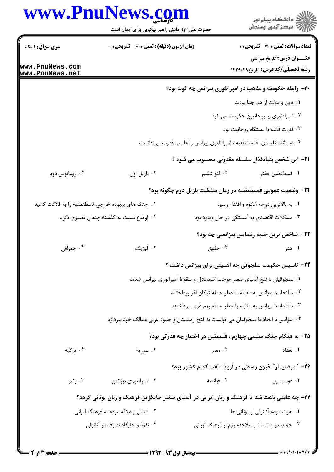|                                                   | www.PnuNews.com<br>حضرت علی(ع): دانش راهبر نیکویی برای ایمان است                            |                                                                         | دانشڪاه پيام نور<br>(7) مرکز آزمون وسنڊش                                     |
|---------------------------------------------------|---------------------------------------------------------------------------------------------|-------------------------------------------------------------------------|------------------------------------------------------------------------------|
| <b>سری سوال : ۱ یک</b>                            | زمان آزمون (دقیقه) : تستی : 60 ٪ تشریحی : 0                                                 |                                                                         | <b>تعداد سوالات : تستی : 30 - تشریحی : 0</b>                                 |
| www.PnuNews.com<br>www.PnuNews.net                |                                                                                             |                                                                         | <b>عنـــوان درس:</b> تاریخ بیزانس<br><b>رشته تحصیلی/کد درس:</b> تاریخ1۲۲۹۰۲۹ |
|                                                   |                                                                                             |                                                                         | ۲۰- رابطه حکومت و مذهب در امپراطوری بیزانس چه گونه بود؟                      |
|                                                   |                                                                                             |                                                                         | ۰۱ دین و دولت از هم جدا بودند                                                |
|                                                   |                                                                                             |                                                                         | ۰۲ امپراطوری بر روحانیون حکومت می کرد                                        |
|                                                   |                                                                                             |                                                                         | ۰۳ قدرت فائقه با دستگاه روحانيت بود                                          |
|                                                   |                                                                                             | ۰۴ دستگاه کلیسای قسطنطنیه ، امپراطوری بیزانس را غاصب قدرت می دانست      |                                                                              |
|                                                   |                                                                                             |                                                                         | <b>۲۱</b> - این شخص بنیانگذار سلسله مقدونی محسوب می شود ؟                    |
| ۰۴ رومانوس دوم                                    | ۰۳ بازيل اول                                                                                | ۰۲ لئو ششم                                                              | ٠١ قسطنطين هفتم                                                              |
|                                                   |                                                                                             |                                                                         | <b>۲۲</b> – وضعیت عمومی قسطنطنیه در زمان سلطنت بازیل دوم چگونه بود؟          |
| ۲. جنگ های بیهوده خارجی قسطنطنیه را به فلاکت کشید |                                                                                             |                                                                         | ۰۱ به بالاترین درجه شکوه و اقتدار رسید                                       |
|                                                   | ۰۴ اوضاع نسبت به گذشته چندان تغییری نکرد                                                    |                                                                         | ۰۳ مشکلات اقتصادی به آهستگی در حال بهبود بود                                 |
|                                                   |                                                                                             |                                                                         | <b>۲۳</b> - شاخص ترین جنبه رنسانس بیزانسی چه بود؟                            |
| ۰۴ جغرافي                                         | ۰۳ فیزیک                                                                                    | ۰۲ حقوق                                                                 | ۰۱ هنر                                                                       |
|                                                   |                                                                                             |                                                                         | ۲۴- تاسیس حکومت سلجوقی چه اهمیتی برای بیزانس داشت ؟                          |
|                                                   |                                                                                             | ٠١ سلجوقيان با فتح آسياي صغير موجب اضمحلال و سقوط امپراتوري بيزانس شدند |                                                                              |
|                                                   |                                                                                             | ۰۲ با اتحاد با بیزانس به مقابله با خطر حمله ترکان اغز پرداختند          |                                                                              |
|                                                   |                                                                                             | ۰۳ با اتحاد با بیزانس به مقابله با خطر حمله روم غربی پرداختند           |                                                                              |
|                                                   | ۰۴ بیزانس با اتحاد با سلجوقیان می توانست به فتح ارمنستان و حدود غربی ممالک خود بپردازد      |                                                                         |                                                                              |
|                                                   |                                                                                             |                                                                         | ۲۵– به هنگام جنگ صلیبی چهارم ، فلسطین در اختیار چه قدرتی بود؟                |
| ۰۴ ترکیه                                          | ۰۳ سوريه                                                                                    | ۰۲ مصر                                                                  | ٠١. بغداد                                                                    |
|                                                   |                                                                                             |                                                                         | ۲۶- ″ مرد بیمار″ قرون وسطی در اروپا ، لقب کدام کشور بود؟                     |
| ۰۴ ونیز                                           | ۰۳ امپراطوری بیزانس                                                                         | ۰۲ فرانسه                                                               | ۰۱ دوسیسیل                                                                   |
|                                                   | ۲۷- چه عاملی باعث شد تا فرهنگ و زبان ایرانی در آسیای صغیر جایگزین فرهنگ و زبان یونانی گردد؟ |                                                                         |                                                                              |
|                                                   | ۰۲ تمایل و علاقه مردم به فرهنگ ایرانی                                                       |                                                                         | ۰۱ نفرت مردم آناتولی از یونانی ها                                            |
|                                                   | ۰۴ نفوذ و جایگاه تصوف در آناتولی                                                            |                                                                         | ۰۳ حمایت و پشتیبانی سلاجقه روم از فرهنگ ایرانی                               |
|                                                   |                                                                                             |                                                                         |                                                                              |